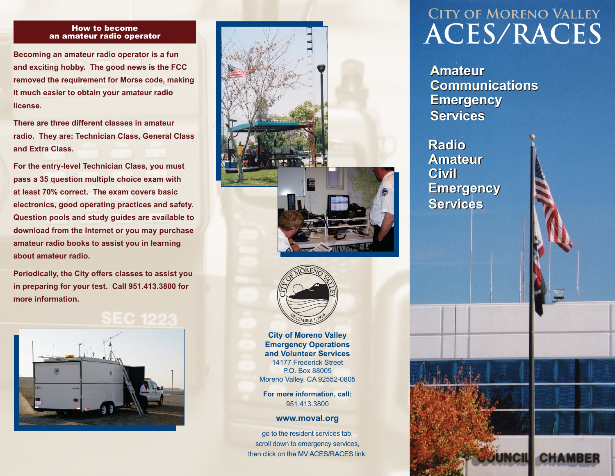#### How to become an amateur radio operator

**Becoming an amateur radio operator is a fun and exciting hobby. The good news is the FCC removed the requirement for Morse code, making it much easier to obtain your amateur radio license.**

**There are three different classes in amateur radio. They are: Technician Class, General Class and Extra Class.**

**For the entry-level Technician Class, you must pass a 35 question multiple choice exam with at least 70% correct. The exam covers basic electronics, good operating practices and safety. Question pools and study guides are available to download from the Internet or you may purchase amateur radio books to assist you in learning about amateur radio.**

**Periodically, the City offers classes to assist you in preparing for your test. Call 951.413.3800 for more information.**









**City of Moreno Valley Emergency Operations and Volunteer Services**14177 Frederick StreetP.O. Box 88005Moreno Valley, CA 92552-0805

**For more information, call:** 951.413.3800

**www.moval.org**

go to the resident services tab, scroll down to emergency services, then click on the MV ACES/RACES link.

## **City of Moreno Valley ACES/RACES**

unch

**CHAMB** 

**Amateur Amateur Communications CommunicationsEmergency Emergency Services** 

**Radio Radio Amateur Amateur Civil Civil Emergency Emergency Services**